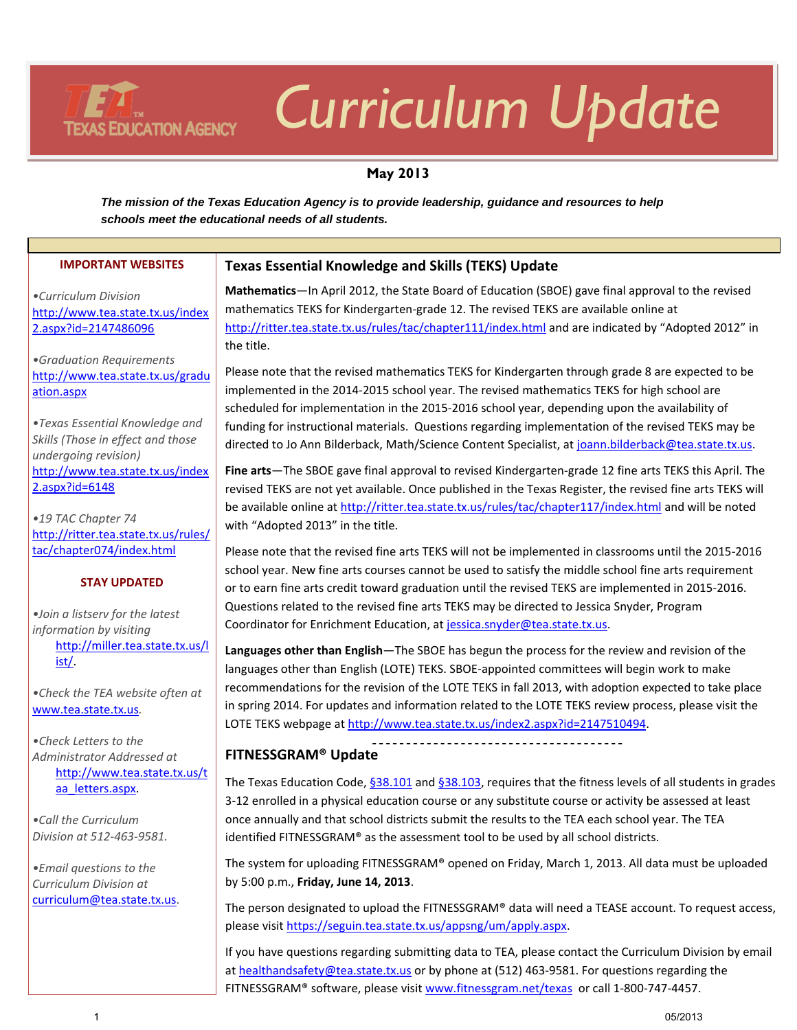# *Curriculum Update*

# **May 2013**

*The mission of the Texas Education Agency is to provide leadership, guidance and resources to help schools meet the educational needs of all students.* 

| <b>IMPORTANT WEBSITES</b>                      | <b>Texas Essential Knowledge and Skills (TEKS) Update</b>                                                 |
|------------------------------------------------|-----------------------------------------------------------------------------------------------------------|
| •Curriculum Division                           | Mathematics-In April 2012, the State Board of Education (SBOE) gave final approval to the revised         |
| http://www.tea.state.tx.us/index               | mathematics TEKS for Kindergarten-grade 12. The revised TEKS are available online at                      |
| 2.aspx?id=2147486096                           | http://ritter.tea.state.tx.us/rules/tac/chapter111/index.html and are indicated by "Adopted 2012" in      |
|                                                | the title.                                                                                                |
| •Graduation Requirements                       |                                                                                                           |
| http://www.tea.state.tx.us/gradu               | Please note that the revised mathematics TEKS for Kindergarten through grade 8 are expected to be         |
| ation.aspx                                     | implemented in the 2014-2015 school year. The revised mathematics TEKS for high school are                |
|                                                | scheduled for implementation in the 2015-2016 school year, depending upon the availability of             |
| • Texas Essential Knowledge and                | funding for instructional materials. Questions regarding implementation of the revised TEKS may be        |
| Skills (Those in effect and those              |                                                                                                           |
| undergoing revision)                           | directed to Jo Ann Bilderback, Math/Science Content Specialist, at joann.bilderback@tea.state.tx.us.      |
| http://www.tea.state.tx.us/index               | Fine arts—The SBOE gave final approval to revised Kindergarten-grade 12 fine arts TEKS this April. The    |
| $2.$ aspx?id=6148                              | revised TEKS are not yet available. Once published in the Texas Register, the revised fine arts TEKS will |
|                                                | be available online at http://ritter.tea.state.tx.us/rules/tac/chapter117/index.html and will be noted    |
| .19 TAC Chapter 74                             | with "Adopted 2013" in the title.                                                                         |
| http://ritter.tea.state.tx.us/rules/           |                                                                                                           |
| tac/chapter074/index.html                      | Please note that the revised fine arts TEKS will not be implemented in classrooms until the 2015-2016     |
| <b>STAY UPDATED</b>                            | school year. New fine arts courses cannot be used to satisfy the middle school fine arts requirement      |
|                                                | or to earn fine arts credit toward graduation until the revised TEKS are implemented in 2015-2016.        |
|                                                | Questions related to the revised fine arts TEKS may be directed to Jessica Snyder, Program                |
| .Join a listserv for the latest                | Coordinator for Enrichment Education, at jessica.snyder@tea.state.tx.us.                                  |
| information by visiting                        |                                                                                                           |
| http://miller.tea.state.tx.us/l<br><u>ist/</u> | Languages other than English-The SBOE has begun the process for the review and revision of the            |
|                                                | languages other than English (LOTE) TEKS. SBOE-appointed committees will begin work to make               |
| •Check the TEA website often at                | recommendations for the revision of the LOTE TEKS in fall 2013, with adoption expected to take place      |
| www.tea.state.tx.us.                           | in spring 2014. For updates and information related to the LOTE TEKS review process, please visit the     |
|                                                | LOTE TEKS webpage at http://www.tea.state.tx.us/index2.aspx?id=2147510494.                                |

*•Check Letters to the Administrator Addressed at*  [http://www.tea.state.tx.us/t](http://www.tea.state.tx.us/taa_letters.aspx) [aa\\_letters.aspx.](http://www.tea.state.tx.us/taa_letters.aspx)

**TEXAS EDUCATION AGENCY** 

*•Call the Curriculum Division at 512-463-9581.*

*•Email questions to the Curriculum Division at*  [curriculum@tea.state.tx.us.](mailto:curriculum@tea.state.tx.us)

# **FITNESSGRAM® Update**

The Texas Education Code, [§38.101](http://www.statutes.legis.state.tx.us/Docs/ED/htm/ED.38.htm#38.101) and [§38.103,](http://www.statutes.legis.state.tx.us/Docs/ED/htm/ED.38.htm#38.103) requires that the fitness levels of all students in grades 3-12 enrolled in a physical education course or any substitute course or activity be assessed at least once annually and that school districts submit the results to the TEA each school year. The TEA identified FITNESSGRAM® as the assessment tool to be used by all school districts.

The system for uploading FITNESSGRAM® opened on Friday, March 1, 2013. All data must be uploaded by 5:00 p.m., **Friday, June 14, 2013**.

The person designated to upload the FITNESSGRAM® data will need a TEASE account. To request access, please visit [https://seguin.tea.state.tx.us/appsng/um/apply.aspx.](https://seguin.tea.state.tx.us/appsng/um/apply.aspx)

If you have questions regarding submitting data to TEA, please contact the Curriculum Division by email a[t healthandsafety@tea.state.tx.us](mailto:healthandsafety@tea.state.tx.us) or by phone at (512) 463-9581. For questions regarding the FITNESSGRAM® software, please visit [www.fitnessgram.net/texas](http://www.fitnessgram.net/texas) or call 1-800-747-4457.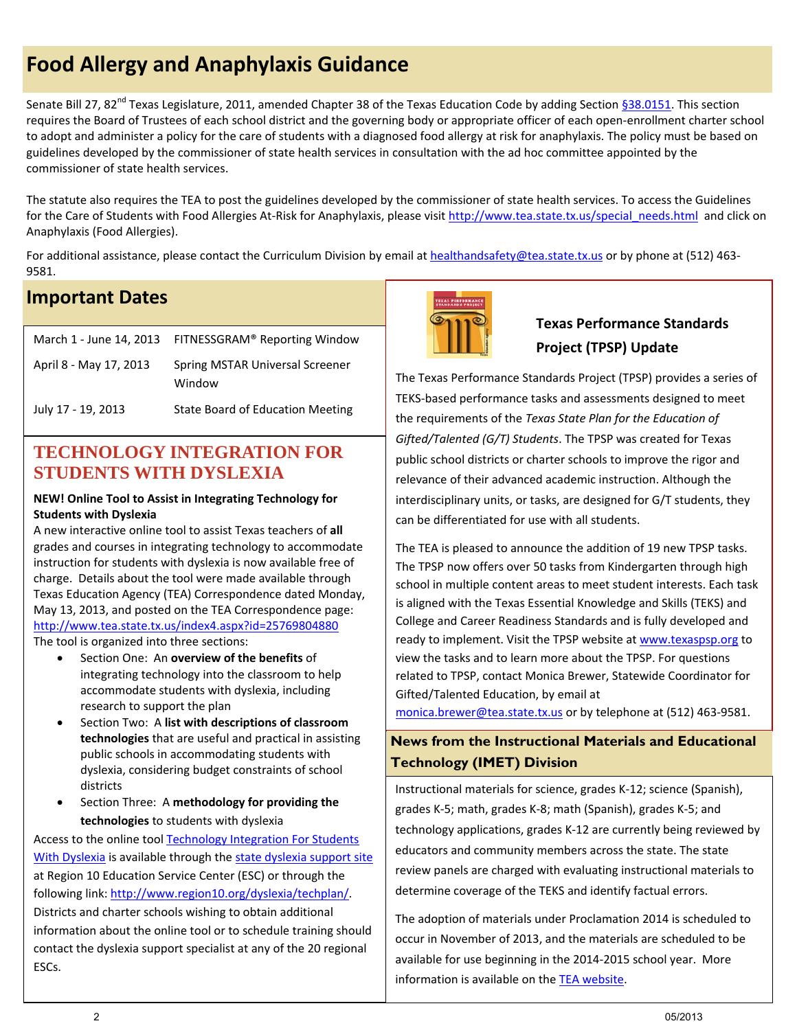# **Food Allergy and Anaphylaxis Guidance**

Senate Bill 27, 82<sup>nd</sup> Texas Legislature, 2011, amended Chapter 38 of the Texas Education Code by adding Section [§38.0151.](http://www.statutes.legis.state.tx.us/Docs/ED/htm/ED.38.htm#38.0151) This section requires the Board of Trustees of each school district and the governing body or appropriate officer of each open-enrollment charter school to adopt and administer a policy for the care of students with a diagnosed food allergy at risk for anaphylaxis. The policy must be based on guidelines developed by the commissioner of state health services in consultation with the ad hoc committee appointed by the commissioner of state health services.

The statute also requires the TEA to post the guidelines developed by the commissioner of state health services. To access the Guidelines for the Care of Students with Food Allergies At-Risk for Anaphylaxis, please visit http://www.tea.state.tx.us/special needs.html and click on Anaphylaxis (Food Allergies).

For additional assistance, please contact the Curriculum Division by email a[t healthandsafety@tea.state.tx.us](mailto:healthandsafety@tea.state.tx.us) or by phone at (512) 463-9581.

# **Important Dates**

|                        | March 1 - June 14, 2013 FITNESSGRAM® Reporting Window |
|------------------------|-------------------------------------------------------|
| April 8 - May 17, 2013 | Spring MSTAR Universal Screener<br>Window             |
| July 17 - 19, 2013     | State Board of Education Meeting                      |

# **STUDENTS WITH DYSLEXIA TECHNOLOGY INTEGRATION FOR**

# **NEW! Online Tool to Assist in Integrating Technology for Students with Dyslexia**

A new interactive online tool to assist Texas teachers of **all** grades and courses in integrating technology to accommodate instruction for students with dyslexia is now available free of charge. Details about the tool were made available through Texas Education Agency (TEA) Correspondence dated Monday, May 13, 2013, and posted on the TEA Correspondence page: <http://www.tea.state.tx.us/index4.aspx?id=25769804880> The tool is organized into three sections:

- Section One: An **overview of the benefits** of integrating technology into the classroom to help accommodate students with dyslexia, including research to support the plan
- Section Two: A **list with descriptions of classroom technologies** that are useful and practical in assisting public schools in accommodating students with dyslexia, considering budget constraints of school districts
- Section Three: A **methodology for providing the technologies** to students with dyslexia

Access to the online tool [Technology Integration For Students](http://www.region10.org/dyslexia/techplan/)  [With Dyslexia](http://www.region10.org/dyslexia/techplan/) is available through the [state dyslexia support site](http://www.region10.org/dyslexia/) at Region 10 Education Service Center (ESC) or through the following link: [http://www.region10.org/dyslexia/techplan/.](http://www.region10.org/dyslexia/techplan/) Districts and charter schools wishing to obtain additional information about the online tool or to schedule training should contact the dyslexia support specialist at any of the 20 regional ESCs.



# **Texas Performance Standards Project (TPSP) Update**

The Texas Performance Standards Project (TPSP) provides a series of TEKS-based performance tasks and assessments designed to meet the requirements of the *Texas State Plan for the Education of Gifted/Talented (G/T) Students*. The TPSP was created for Texas public school districts or charter schools to improve the rigor and relevance of their advanced academic instruction. Although the interdisciplinary units, or tasks, are designed for G/T students, they can be differentiated for use with all students.

The TEA is pleased to announce the addition of 19 new TPSP tasks. The TPSP now offers over 50 tasks from Kindergarten through high school in multiple content areas to meet student interests. Each task is aligned with the Texas Essential Knowledge and Skills (TEKS) and College and Career Readiness Standards and is fully developed and ready to implement. Visit the TPSP website a[t www.texaspsp.org](http://www.texaspsp.org/) to view the tasks and to learn more about the TPSP. For questions related to TPSP, contact Monica Brewer, Statewide Coordinator for Gifted/Talented Education, by email at

[monica.brewer@tea.state.tx.us](mailto:monica.brewer@tea.state.tx.us) or by telephone at (512) 463-9581.

# **News from the Instructional Materials and Educational Technology (IMET) Division**

Instructional materials for science, grades K-12; science (Spanish), grades K-5; math, grades K-8; math (Spanish), grades K-5; and technology applications, grades K-12 are currently being reviewed by educators and community members across the state. The state review panels are charged with evaluating instructional materials to determine coverage of the TEKS and identify factual errors.

The adoption of materials under Proclamation 2014 is scheduled to occur in November of 2013, and the materials are scheduled to be available for use beginning in the 2014-2015 school year. More information is available on the **TEA website**.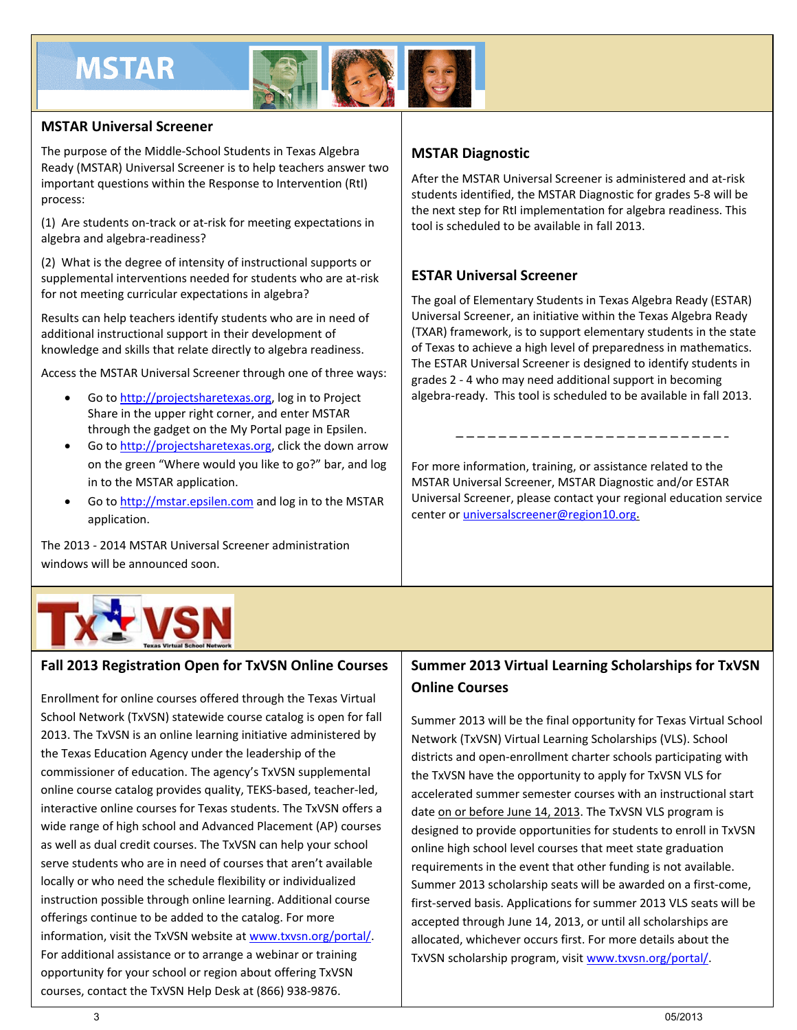# **MSTAR**



# **MSTAR Universal Screener**

The purpose of the Middle-School Students in Texas Algebra Ready (MSTAR) Universal Screener is to help teachers answer two important questions within the Response to Intervention (RtI) process:

(1) Are students on-track or at-risk for meeting expectations in algebra and algebra-readiness?

(2) What is the degree of intensity of instructional supports or supplemental interventions needed for students who are at-risk for not meeting curricular expectations in algebra?

Results can help teachers identify students who are in need of additional instructional support in their development of knowledge and skills that relate directly to algebra readiness.

Access the MSTAR Universal Screener through one of three ways:

- Go t[o http://projectsharetexas.org,](http://projectsharetexas.org/) log in to Project Share in the upper right corner, and enter MSTAR through the gadget on the My Portal page in Epsilen.
- Go to http://projectsharetexas.org, click the down arrow on the green "Where would you like to go?" bar, and log in to the MSTAR application.
- Go to http://mstar.epsilen.com and log in to the MSTAR application.

The 2013 - 2014 MSTAR Universal Screener administration windows will be announced soon.

# **MSTAR Diagnostic**

After the MSTAR Universal Screener is administered and at-risk students identified, the MSTAR Diagnostic for grades 5-8 will be the next step for RtI implementation for algebra readiness. This tool is scheduled to be available in fall 2013.

# **ESTAR Universal Screener**

The goal of Elementary Students in Texas Algebra Ready (ESTAR) Universal Screener, an initiative within the Texas Algebra Ready (TXAR) framework, is to support elementary students in the state of Texas to achieve a high level of preparedness in mathematics. The ESTAR Universal Screener is designed to identify students in grades 2 - 4 who may need additional support in becoming algebra-ready. This tool is scheduled to be available in fall 2013.

For more information, training, or assistance related to the MSTAR Universal Screener, MSTAR Diagnostic and/or ESTAR Universal Screener, please contact your regional education service center or [universalscreener@region10.org.](mailto:universalscreener@region10.org)



# **Fall 2013 Registration Open for TxVSN Online Courses**

Enrollment for online courses offered through the Texas Virtual School Network (TxVSN) statewide course catalog is open for fall 2013. The TxVSN is an online learning initiative administered by the Texas Education Agency under the leadership of the commissioner of education. The agency's TxVSN supplemental online course catalog provides quality, TEKS-based, teacher-led, interactive online courses for Texas students. The TxVSN offers a wide range of high school and Advanced Placement (AP) courses as well as dual credit courses. The TxVSN can help your school serve students who are in need of courses that aren't available locally or who need the schedule flexibility or individualized instruction possible through online learning. Additional course offerings continue to be added to the catalog. For more information, visit the TxVSN website a[t www.txvsn.org/portal/.](http://www.txvsn.org/portal/) For additional assistance or to arrange a webinar or training opportunity for your school or region about offering TxVSN courses, contact the TxVSN Help Desk at (866) 938-9876.

# **Summer 2013 Virtual Learning Scholarships for TxVSN Online Courses**

Summer 2013 will be the final opportunity for Texas Virtual School Network (TxVSN) Virtual Learning Scholarships (VLS). School districts and open-enrollment charter schools participating with the TxVSN have the opportunity to apply for TxVSN VLS for accelerated summer semester courses with an instructional start date on or before June 14, 2013. The TxVSN VLS program is designed to provide opportunities for students to enroll in TxVSN online high school level courses that meet state graduation requirements in the event that other funding is not available. Summer 2013 scholarship seats will be awarded on a first-come, first-served basis. Applications for summer 2013 VLS seats will be accepted through June 14, 2013, or until all scholarships are allocated, whichever occurs first. For more details about the TxVSN scholarship program, visit www.txvsn.org/portal/.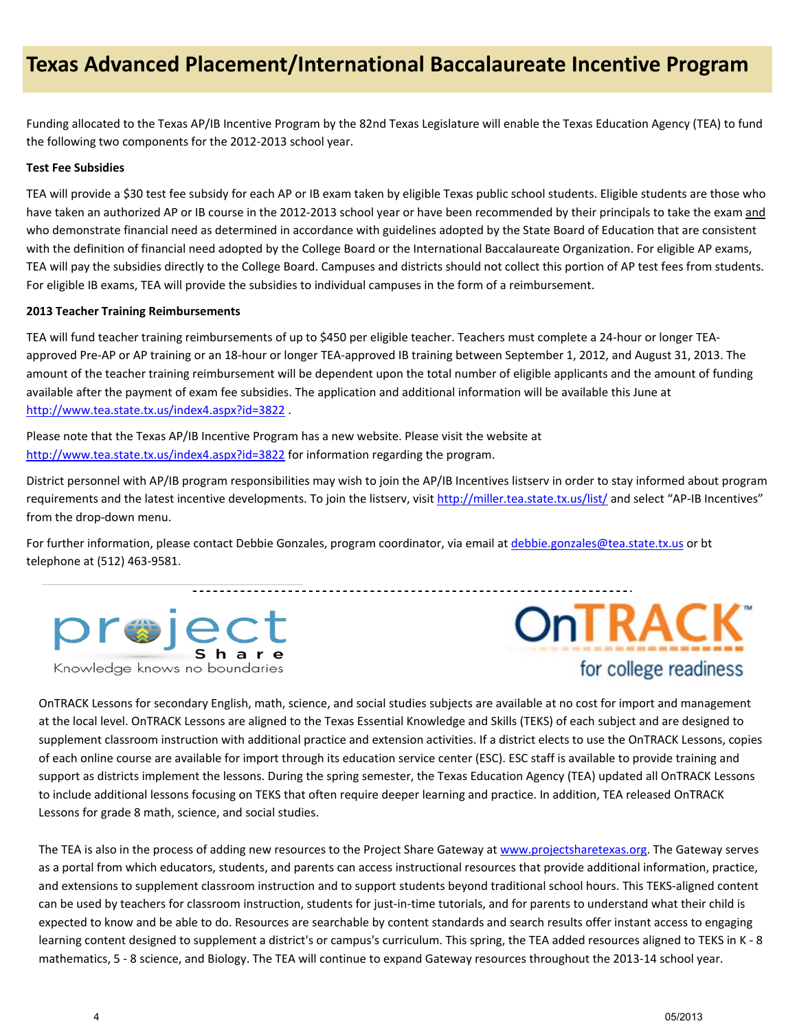Funding allocated to the Texas AP/IB Incentive Program by the 82nd Texas Legislature will enable the Texas Education Agency (TEA) to fund the following two components for the 2012-2013 school year.

# **Test Fee Subsidies**

TEA will provide a \$30 test fee subsidy for each AP or IB exam taken by eligible Texas public school students. Eligible students are those who have taken an authorized AP or IB course in the 2012-2013 school year or have been recommended by their principals to take the exam and who demonstrate financial need as determined in accordance with guidelines adopted by the State Board of Education that are consistent with the definition of financial need adopted by the College Board or the International Baccalaureate Organization. For eligible AP exams, TEA will pay the subsidies directly to the College Board. Campuses and districts should not collect this portion of AP test fees from students. For eligible IB exams, TEA will provide the subsidies to individual campuses in the form of a reimbursement.

# **2013 Teacher Training Reimbursements**

TEA will fund teacher training reimbursements of up to \$450 per eligible teacher. Teachers must complete a 24-hour or longer TEAapproved Pre-AP or AP training or an 18-hour or longer TEA-approved IB training between September 1, 2012, and August 31, 2013. The amount of the teacher training reimbursement will be dependent upon the total number of eligible applicants and the amount of funding available after the payment of exam fee subsidies. The application and additional information will be available this June at <http://www.tea.state.tx.us/index4.aspx?id=3822>.

Please note that the Texas AP/IB Incentive Program has a new website. Please visit the website at <http://www.tea.state.tx.us/index4.aspx?id=3822> for information regarding the program.

District personnel with AP/IB program responsibilities may wish to join the AP/IB Incentives listserv in order to stay informed about program requirements and the latest incentive developments. To join the listserv, visit<http://miller.tea.state.tx.us/list/> and select "AP-IB Incentives" from the drop-down menu.

<u>\_\_\_\_\_\_\_\_\_\_\_\_\_\_</u>

For further information, please contact Debbie Gonzales, program coordinator, via email at [debbie.gonzales@tea.state.tx.us](mailto:debbie.gonzales@tea.state.tx.us) or bt telephone at (512) 463-9581.





OnTRACK Lessons for secondary English, math, science, and social studies subjects are available at no cost for import and management at the local level. OnTRACK Lessons are aligned to the Texas Essential Knowledge and Skills (TEKS) of each subject and are designed to supplement classroom instruction with additional practice and extension activities. If a district elects to use the OnTRACK Lessons, copies of each online course are available for import through its education service center (ESC). ESC staff is available to provide training and support as districts implement the lessons. During the spring semester, the Texas Education Agency (TEA) updated all OnTRACK Lessons to include additional lessons focusing on TEKS that often require deeper learning and practice. In addition, TEA released OnTRACK Lessons for grade 8 math, science, and social studies.

The TEA is also in the process of adding new resources to the Project Share Gateway a[t www.projectsharetexas.org.](http://www.projectsharetexas.org/) The Gateway serves as a portal from which educators, students, and parents can access instructional resources that provide additional information, practice, and extensions to supplement classroom instruction and to support students beyond traditional school hours. This TEKS-aligned content can be used by teachers for classroom instruction, students for just-in-time tutorials, and for parents to understand what their child is expected to know and be able to do. Resources are searchable by content standards and search results offer instant access to engaging learning content designed to supplement a district's or campus's curriculum. This spring, the TEA added resources aligned to TEKS in K - 8 mathematics, 5 - 8 science, and Biology. The TEA will continue to expand Gateway resources throughout the 2013-14 school year.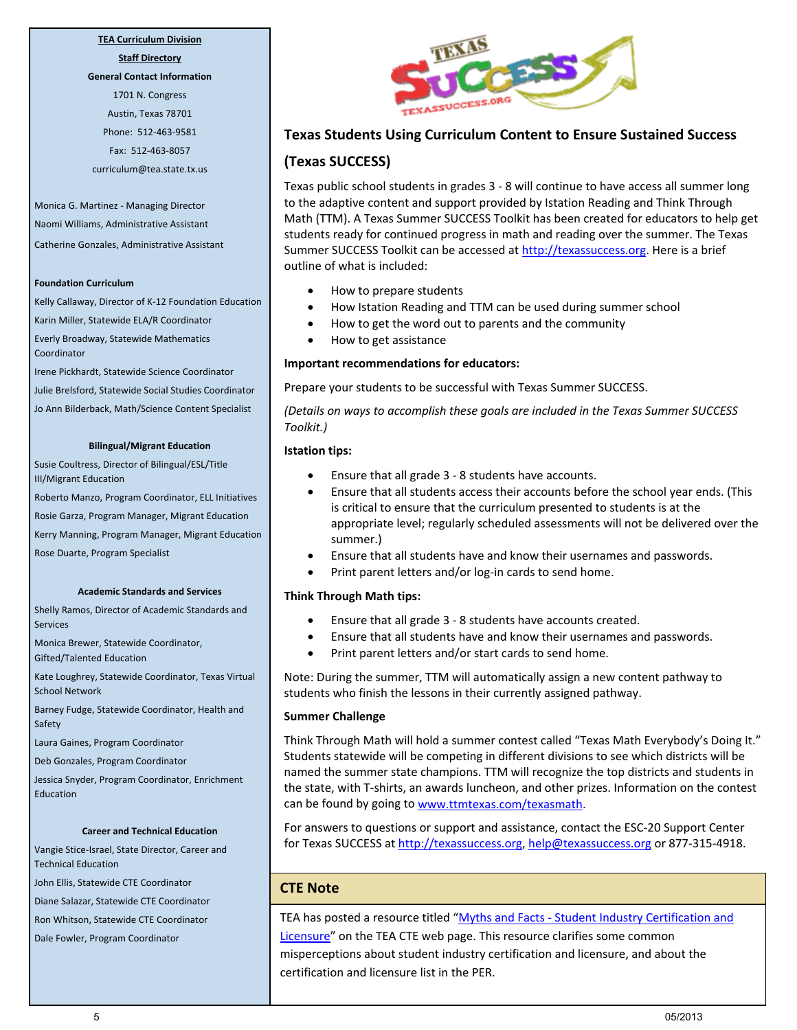# **TEA Curriculum Division**

**Staff Directory General Contact Information**

1701 N. Congress Austin, Texas 78701 Phone: 512-463-9581 Fax: 512-463-8057 curriculum@tea.state.tx.us

Monica G. Martinez - Managing Director Naomi Williams, Administrative Assistant Catherine Gonzales, Administrative Assistant

#### **Foundation Curriculum**

Kelly Callaway, Director of K-12 Foundation Education Karin Miller, Statewide ELA/R Coordinator Everly Broadway, Statewide Mathematics Coordinator

Irene Pickhardt, Statewide Science Coordinator Julie Brelsford, Statewide Social Studies Coordinator Jo Ann Bilderback, Math/Science Content Specialist

#### **Bilingual/Migrant Education**

Susie Coultress, Director of Bilingual/ESL/Title III/Migrant Education

Roberto Manzo, Program Coordinator, ELL Initiatives

Rosie Garza, Program Manager, Migrant Education

Kerry Manning, Program Manager, Migrant Education

Rose Duarte, Program Specialist

#### **Academic Standards and Services**

Shelly Ramos, Director of Academic Standards and Services

Monica Brewer, Statewide Coordinator, Gifted/Talented Education

Kate Loughrey, Statewide Coordinator, Texas Virtual School Network

Barney Fudge, Statewide Coordinator, Health and Safety

Laura Gaines, Program Coordinator

Deb Gonzales, Program Coordinator

Jessica Snyder, Program Coordinator, Enrichment Education

#### **Career and Technical Education**

Vangie Stice-Israel, State Director, Career and Technical Education

John Ellis, Statewide CTE Coordinator

Diane Salazar, Statewide CTE Coordinator

Ron Whitson, Statewide CTE Coordinator

Dale Fowler, Program Coordinator



# **Texas Students Using Curriculum Content to Ensure Sustained Success**

# **(Texas SUCCESS)**

Texas public school students in grades 3 - 8 will continue to have access all summer long to the adaptive content and support provided by Istation Reading and Think Through Math (TTM). A Texas Summer SUCCESS Toolkit has been created for educators to help get students ready for continued progress in math and reading over the summer. The Texas Summer SUCCESS Toolkit can be accessed at [http://texassuccess.org.](http://texassuccess.org/) Here is a brief outline of what is included:

- How to prepare students
- How Istation Reading and TTM can be used during summer school
- How to get the word out to parents and the community
- How to get assistance

### **Important recommendations for educators:**

Prepare your students to be successful with Texas Summer SUCCESS.

*(Details on ways to accomplish these goals are included in the Texas Summer SUCCESS Toolkit.)*

### **Istation tips:**

- Ensure that all grade 3 8 students have accounts.
- Ensure that all students access their accounts before the school year ends. (This is critical to ensure that the curriculum presented to students is at the appropriate level; regularly scheduled assessments will not be delivered over the summer.)
- Ensure that all students have and know their usernames and passwords.
- Print parent letters and/or log-in cards to send home.

### **Think Through Math tips:**

- Ensure that all grade 3 8 students have accounts created.
- Ensure that all students have and know their usernames and passwords.
- Print parent letters and/or start cards to send home.

Note: During the summer, TTM will automatically assign a new content pathway to students who finish the lessons in their currently assigned pathway.

### **Summer Challenge**

Think Through Math will hold a summer contest called "Texas Math Everybody's Doing It." Students statewide will be competing in different divisions to see which districts will be named the summer state champions. TTM will recognize the top districts and students in the state, with T-shirts, an awards luncheon, and other prizes. Information on the contest can be found by going to [www.ttmtexas.com/texasmath.](http://www.ttmtexas.com/texasmath)

For answers to questions or support and assistance, contact the ESC-20 Support Center for Texas SUCCESS at [http://texassuccess.org,](http://texassuccess.org/) [help@texassuccess.org](mailto:help@texassuccess.org) or 877-315-4918.

# **CTE Note**

TEA has posted a resource titled "Myths and Facts - Student Industry Certification and [Licensure"](http://www.tea.state.tx.us/WorkArea/linkit.aspx?LinkIdentifier=id&ItemID=25769804833&libID=25769804833) on the TEA CTE web page. This resource clarifies some common misperceptions about student industry certification and licensure, and about the certification and licensure list in the PER.